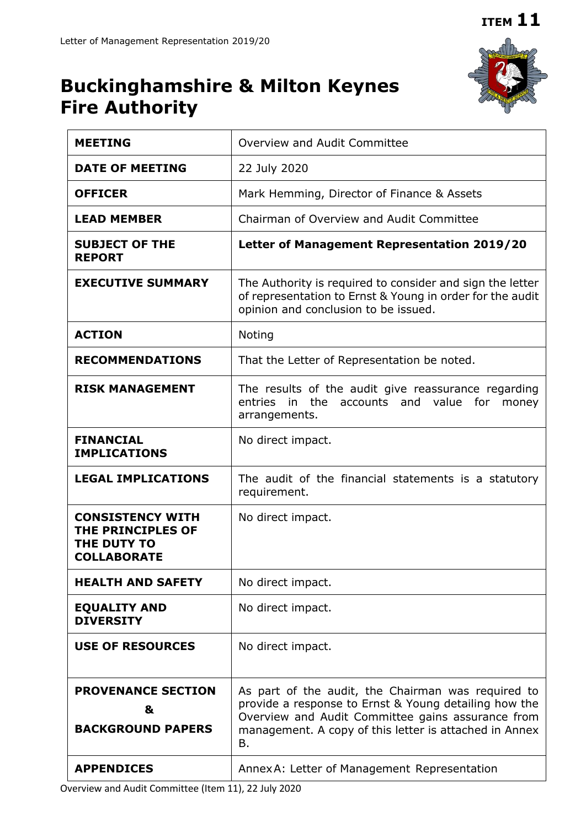## **ITEM 11**



# **Buckinghamshire & Milton Keynes Fire Authority**

| <b>MEETING</b>                                                                    | Overview and Audit Committee                                                                                                                                                                                                            |
|-----------------------------------------------------------------------------------|-----------------------------------------------------------------------------------------------------------------------------------------------------------------------------------------------------------------------------------------|
| <b>DATE OF MEETING</b>                                                            | 22 July 2020                                                                                                                                                                                                                            |
| <b>OFFICER</b>                                                                    | Mark Hemming, Director of Finance & Assets                                                                                                                                                                                              |
| <b>LEAD MEMBER</b>                                                                | Chairman of Overview and Audit Committee                                                                                                                                                                                                |
| <b>SUBJECT OF THE</b><br><b>REPORT</b>                                            | Letter of Management Representation 2019/20                                                                                                                                                                                             |
| <b>EXECUTIVE SUMMARY</b>                                                          | The Authority is required to consider and sign the letter<br>of representation to Ernst & Young in order for the audit<br>opinion and conclusion to be issued.                                                                          |
| <b>ACTION</b>                                                                     | Noting                                                                                                                                                                                                                                  |
| <b>RECOMMENDATIONS</b>                                                            | That the Letter of Representation be noted.                                                                                                                                                                                             |
| <b>RISK MANAGEMENT</b>                                                            | The results of the audit give reassurance regarding<br>in the<br>accounts and value<br>for<br>entries<br>money<br>arrangements.                                                                                                         |
| <b>FINANCIAL</b><br><b>IMPLICATIONS</b>                                           | No direct impact.                                                                                                                                                                                                                       |
| <b>LEGAL IMPLICATIONS</b>                                                         | The audit of the financial statements is a statutory<br>requirement.                                                                                                                                                                    |
| <b>CONSISTENCY WITH</b><br>THE PRINCIPLES OF<br>THE DUTY TO<br><b>COLLABORATE</b> | No direct impact.                                                                                                                                                                                                                       |
| <b>HEALTH AND SAFETY</b>                                                          | No direct impact.                                                                                                                                                                                                                       |
| <b>EQUALITY AND</b><br><b>DIVERSITY</b>                                           | No direct impact.                                                                                                                                                                                                                       |
| <b>USE OF RESOURCES</b>                                                           | No direct impact.                                                                                                                                                                                                                       |
| <b>PROVENANCE SECTION</b><br>&<br><b>BACKGROUND PAPERS</b>                        | As part of the audit, the Chairman was required to<br>provide a response to Ernst & Young detailing how the<br>Overview and Audit Committee gains assurance from<br>management. A copy of this letter is attached in Annex<br><b>B.</b> |
| <b>APPENDICES</b>                                                                 | Annex A: Letter of Management Representation                                                                                                                                                                                            |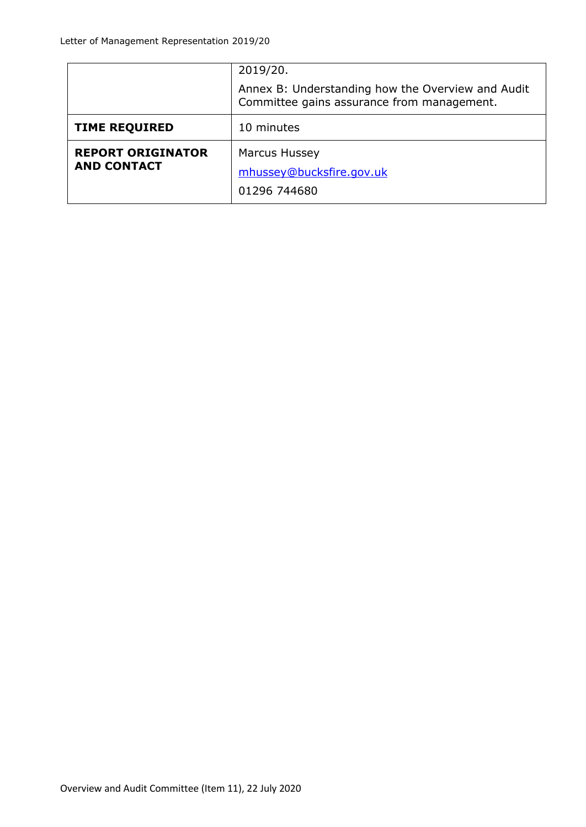|                                                | 2019/20.                                                                                        |
|------------------------------------------------|-------------------------------------------------------------------------------------------------|
|                                                | Annex B: Understanding how the Overview and Audit<br>Committee gains assurance from management. |
| <b>TIME REQUIRED</b>                           | 10 minutes                                                                                      |
| <b>REPORT ORIGINATOR</b><br><b>AND CONTACT</b> | <b>Marcus Hussey</b><br>mhussey@bucksfire.gov.uk<br>01296 744680                                |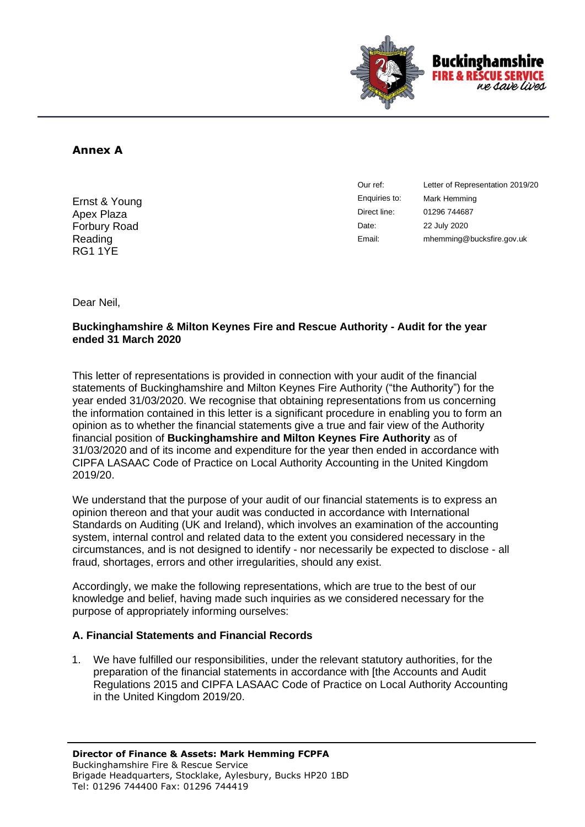

#### **Annex A**

Ernst & Young Apex Plaza Forbury Road Reading RG1 1YE

| Letter of Representation 2019/20 |
|----------------------------------|
| Mark Hemming                     |
| 01296 744687                     |
| 22 July 2020                     |
| mhemming@bucksfire.gov.uk        |
|                                  |

Dear Neil,

#### **Buckinghamshire & Milton Keynes Fire and Rescue Authority - Audit for the year ended 31 March 2020**

This letter of representations is provided in connection with your audit of the financial statements of Buckinghamshire and Milton Keynes Fire Authority ("the Authority") for the year ended 31/03/2020. We recognise that obtaining representations from us concerning the information contained in this letter is a significant procedure in enabling you to form an opinion as to whether the financial statements give a true and fair view of the Authority financial position of **Buckinghamshire and Milton Keynes Fire Authority** as of 31/03/2020 and of its income and expenditure for the year then ended in accordance with CIPFA LASAAC Code of Practice on Local Authority Accounting in the United Kingdom 2019/20.

We understand that the purpose of your audit of our financial statements is to express an opinion thereon and that your audit was conducted in accordance with International Standards on Auditing (UK and Ireland), which involves an examination of the accounting system, internal control and related data to the extent you considered necessary in the circumstances, and is not designed to identify - nor necessarily be expected to disclose - all fraud, shortages, errors and other irregularities, should any exist.

Accordingly, we make the following representations, which are true to the best of our knowledge and belief, having made such inquiries as we considered necessary for the purpose of appropriately informing ourselves:

#### **A. Financial Statements and Financial Records**

1. We have fulfilled our responsibilities, under the relevant statutory authorities, for the preparation of the financial statements in accordance with [the Accounts and Audit Regulations 2015 and CIPFA LASAAC Code of Practice on Local Authority Accounting in the United Kingdom 2019/20.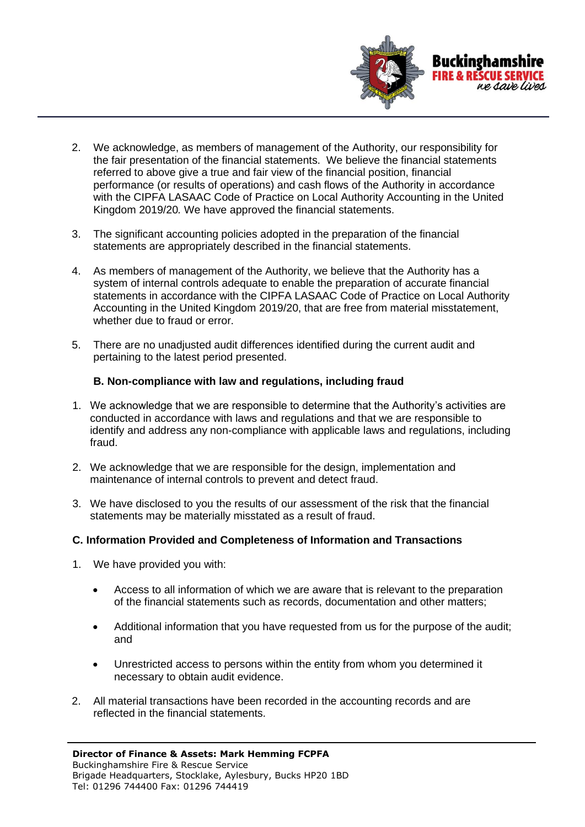

- 2. We acknowledge, as members of management of the Authority, our responsibility for the fair presentation of the financial statements. We believe the financial statements referred to above give a true and fair view of the financial position, financial performance (or results of operations) and cash flows of the Authority in accordance with the CIPFA LASAAC Code of Practice on Local Authority Accounting in the United Kingdom 2019/20*.* We have approved the financial statements.
- 3. The significant accounting policies adopted in the preparation of the financial statements are appropriately described in the financial statements.
- 4. As members of management of the Authority, we believe that the Authority has a system of internal controls adequate to enable the preparation of accurate financial statements in accordance with the CIPFA LASAAC Code of Practice on Local Authority Accounting in the United Kingdom 2019/20, that are free from material misstatement, whether due to fraud or error.
- 5. There are no unadjusted audit differences identified during the current audit and pertaining to the latest period presented.

#### **B. Non-compliance with law and regulations, including fraud**

- 1. We acknowledge that we are responsible to determine that the Authority's activities are conducted in accordance with laws and regulations and that we are responsible to identify and address any non-compliance with applicable laws and regulations, including fraud.
- 2. We acknowledge that we are responsible for the design, implementation and maintenance of internal controls to prevent and detect fraud.
- 3. We have disclosed to you the results of our assessment of the risk that the financial statements may be materially misstated as a result of fraud.

#### **C. Information Provided and Completeness of Information and Transactions**

- 1. We have provided you with:
	- Access to all information of which we are aware that is relevant to the preparation of the financial statements such as records, documentation and other matters;
	- Additional information that you have requested from us for the purpose of the audit; and
	- Unrestricted access to persons within the entity from whom you determined it necessary to obtain audit evidence.
- 2. All material transactions have been recorded in the accounting records and are reflected in the financial statements.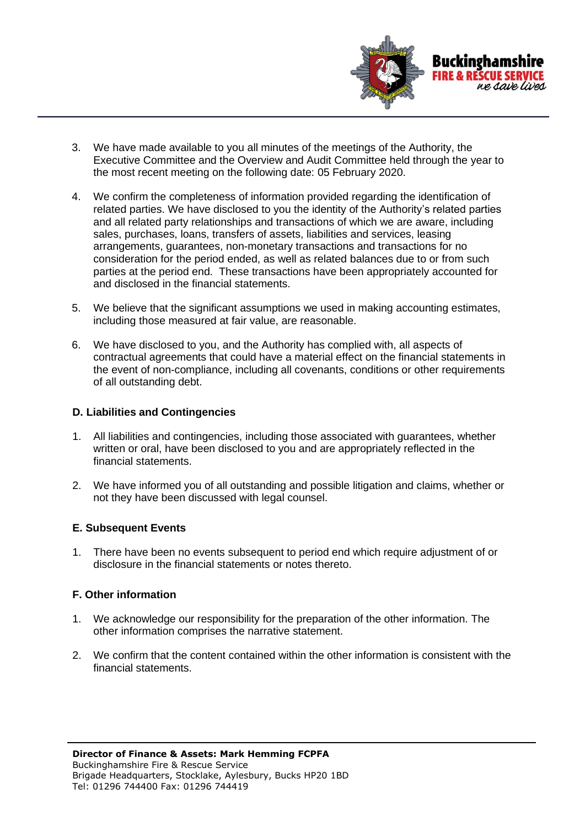

- 3. We have made available to you all minutes of the meetings of the Authority, the Executive Committee and the Overview and Audit Committee held through the year to the most recent meeting on the following date: 05 February 2020.
- 4. We confirm the completeness of information provided regarding the identification of related parties. We have disclosed to you the identity of the Authority's related parties and all related party relationships and transactions of which we are aware, including sales, purchases, loans, transfers of assets, liabilities and services, leasing arrangements, guarantees, non-monetary transactions and transactions for no consideration for the period ended, as well as related balances due to or from such parties at the period end. These transactions have been appropriately accounted for and disclosed in the financial statements.
- 5. We believe that the significant assumptions we used in making accounting estimates, including those measured at fair value, are reasonable.
- 6. We have disclosed to you, and the Authority has complied with, all aspects of contractual agreements that could have a material effect on the financial statements in the event of non-compliance, including all covenants, conditions or other requirements of all outstanding debt.

#### **D. Liabilities and Contingencies**

- 1. All liabilities and contingencies, including those associated with guarantees, whether written or oral, have been disclosed to you and are appropriately reflected in the financial statements.
- 2. We have informed you of all outstanding and possible litigation and claims, whether or not they have been discussed with legal counsel.

### **E. Subsequent Events**

1. There have been no events subsequent to period end which require adjustment of or disclosure in the financial statements or notes thereto.

#### **F. Other information**

- 1. We acknowledge our responsibility for the preparation of the other information. The other information comprises the narrative statement.
- 2. We confirm that the content contained within the other information is consistent with the financial statements.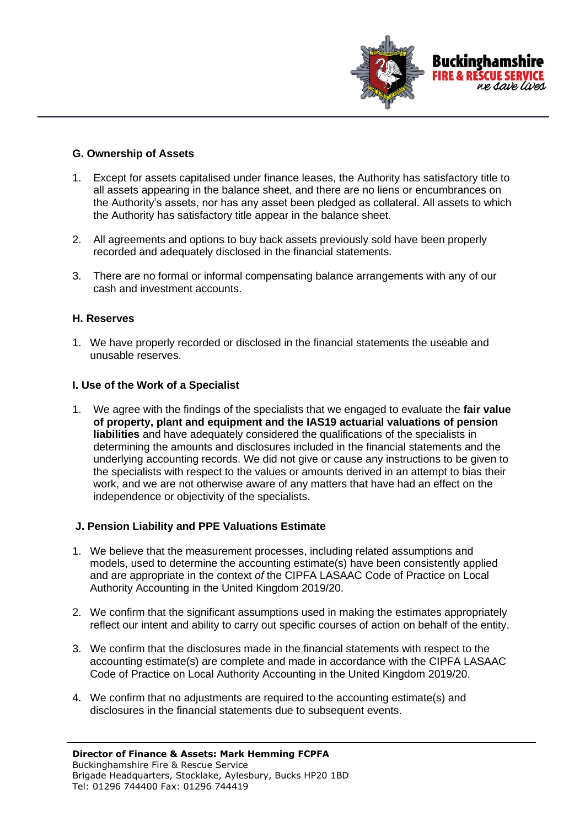

#### **G. Ownership of Assets**

- 1. Except for assets capitalised under finance leases, the Authority has satisfactory title to all assets appearing in the balance sheet, and there are no liens or encumbrances on the Authority's assets, nor has any asset been pledged as collateral. All assets to which the Authority has satisfactory title appear in the balance sheet.
- 2. All agreements and options to buy back assets previously sold have been properly recorded and adequately disclosed in the financial statements.
- 3. There are no formal or informal compensating balance arrangements with any of our cash and investment accounts.

#### **H. Reserves**

1. We have properly recorded or disclosed in the financial statements the useable and unusable reserves.

#### **I. Use of the Work of a Specialist**

1. We agree with the findings of the specialists that we engaged to evaluate the **fair value of property, plant and equipment and the IAS19 actuarial valuations of pension liabilities** and have adequately considered the qualifications of the specialists in determining the amounts and disclosures included in the financial statements and the underlying accounting records. We did not give or cause any instructions to be given to the specialists with respect to the values or amounts derived in an attempt to bias their work, and we are not otherwise aware of any matters that have had an effect on the independence or objectivity of the specialists.

#### **J. Pension Liability and PPE Valuations Estimate**

- 1. We believe that the measurement processes, including related assumptions and models, used to determine the accounting estimate(s) have been consistently applied and are appropriate in the context *of* the CIPFA LASAAC Code of Practice on Local Authority Accounting in the United Kingdom 2019/20.
- 2. We confirm that the significant assumptions used in making the estimates appropriately reflect our intent and ability to carry out specific courses of action on behalf of the entity.
- 3. We confirm that the disclosures made in the financial statements with respect to the accounting estimate(s) are complete and made in accordance with the CIPFA LASAAC Code of Practice on Local Authority Accounting in the United Kingdom 2019/20.
- 4. We confirm that no adjustments are required to the accounting estimate(s) and disclosures in the financial statements due to subsequent events.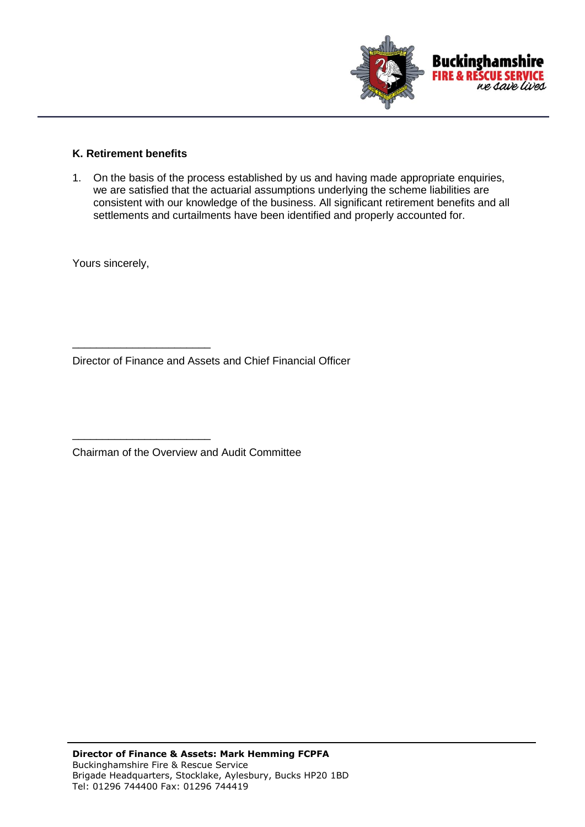

#### **K. Retirement benefits**

1. On the basis of the process established by us and having made appropriate enquiries, we are satisfied that the actuarial assumptions underlying the scheme liabilities are consistent with our knowledge of the business. All significant retirement benefits and all settlements and curtailments have been identified and properly accounted for.

Yours sincerely,

\_\_\_\_\_\_\_\_\_\_\_\_\_\_\_\_\_\_\_\_\_\_\_

\_\_\_\_\_\_\_\_\_\_\_\_\_\_\_\_\_\_\_\_\_\_\_

Director of Finance and Assets and Chief Financial Officer

Chairman of the Overview and Audit Committee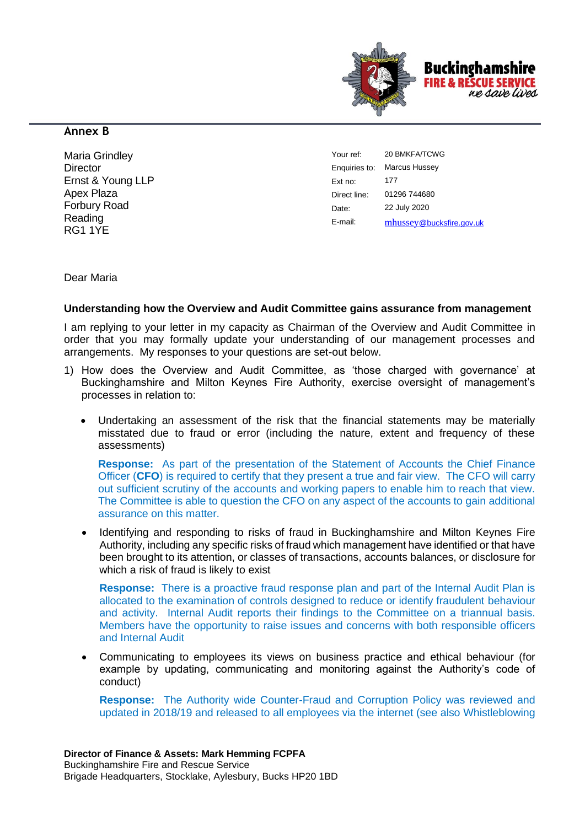

#### **Annex B**

Maria Grindley **Director** Ernst & Young LLP Apex Plaza Forbury Road Reading RG1 1YE

Your ref: Enquiries to: Marcus Hussey Ext no: Direct line: Date: E-mail: 20 BMKFA/TCWG 177 01296 744680 22 July 2020 mhussey[@bucksfire.gov.uk](mailto:mhussey@bucksfire.gov.uk)

Dear Maria

#### **Understanding how the Overview and Audit Committee gains assurance from management**

I am replying to your letter in my capacity as Chairman of the Overview and Audit Committee in order that you may formally update your understanding of our management processes and arrangements. My responses to your questions are set-out below.

- 1) How does the Overview and Audit Committee, as 'those charged with governance' at Buckinghamshire and Milton Keynes Fire Authority, exercise oversight of management's processes in relation to:
	- Undertaking an assessment of the risk that the financial statements may be materially misstated due to fraud or error (including the nature, extent and frequency of these assessments)

**Response:** As part of the presentation of the Statement of Accounts the Chief Finance Officer (**CFO**) is required to certify that they present a true and fair view. The CFO will carry out sufficient scrutiny of the accounts and working papers to enable him to reach that view. The Committee is able to question the CFO on any aspect of the accounts to gain additional assurance on this matter.

• Identifying and responding to risks of fraud in Buckinghamshire and Milton Keynes Fire Authority, including any specific risks of fraud which management have identified or that have been brought to its attention, or classes of transactions, accounts balances, or disclosure for which a risk of fraud is likely to exist

**Response:** There is a proactive fraud response plan and part of the Internal Audit Plan is allocated to the examination of controls designed to reduce or identify fraudulent behaviour and activity. Internal Audit reports their findings to the Committee on a triannual basis. Members have the opportunity to raise issues and concerns with both responsible officers and Internal Audit

• Communicating to employees its views on business practice and ethical behaviour (for example by updating, communicating and monitoring against the Authority's code of conduct)

**Response:** The Authority wide Counter-Fraud and Corruption Policy was reviewed and updated in 2018/19 and released to all employees via the internet (see also Whistleblowing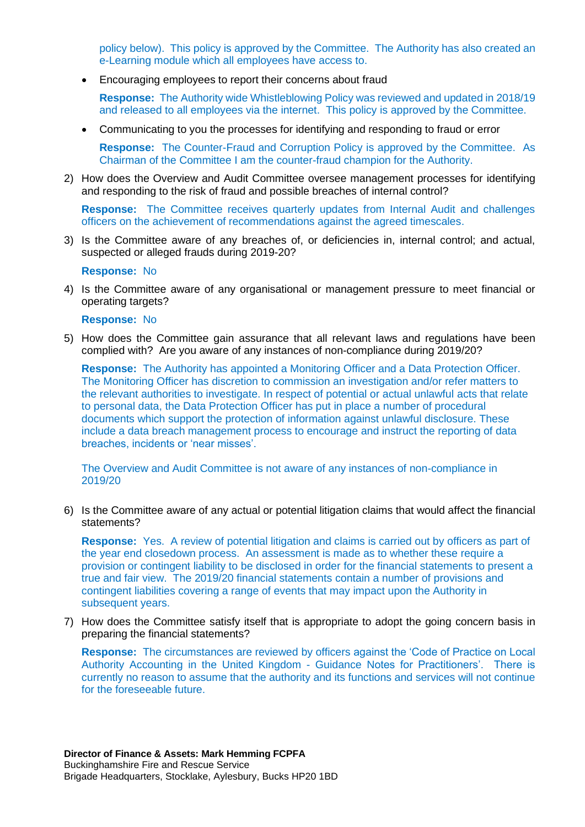policy below). This policy is approved by the Committee. The Authority has also created an e-Learning module which all employees have access to.

• Encouraging employees to report their concerns about fraud

**Response:** The Authority wide Whistleblowing Policy was reviewed and updated in 2018/19 and released to all employees via the internet. This policy is approved by the Committee.

• Communicating to you the processes for identifying and responding to fraud or error

**Response:** The Counter-Fraud and Corruption Policy is approved by the Committee. As Chairman of the Committee I am the counter-fraud champion for the Authority.

2) How does the Overview and Audit Committee oversee management processes for identifying and responding to the risk of fraud and possible breaches of internal control?

**Response:** The Committee receives quarterly updates from Internal Audit and challenges officers on the achievement of recommendations against the agreed timescales.

3) Is the Committee aware of any breaches of, or deficiencies in, internal control; and actual, suspected or alleged frauds during 2019-20?

**Response:** No

4) Is the Committee aware of any organisational or management pressure to meet financial or operating targets?

#### **Response:** No

5) How does the Committee gain assurance that all relevant laws and regulations have been complied with? Are you aware of any instances of non-compliance during 2019/20?

**Response:** The Authority has appointed a Monitoring Officer and a Data Protection Officer. The Monitoring Officer has discretion to commission an investigation and/or refer matters to the relevant authorities to investigate. In respect of potential or actual unlawful acts that relate to personal data, the Data Protection Officer has put in place a number of procedural documents which support the protection of information against unlawful disclosure. These include a data breach management process to encourage and instruct the reporting of data breaches, incidents or 'near misses'.

The Overview and Audit Committee is not aware of any instances of non-compliance in 2019/20

6) Is the Committee aware of any actual or potential litigation claims that would affect the financial statements?

**Response:** Yes. A review of potential litigation and claims is carried out by officers as part of the year end closedown process. An assessment is made as to whether these require a provision or contingent liability to be disclosed in order for the financial statements to present a true and fair view. The 2019/20 financial statements contain a number of provisions and contingent liabilities covering a range of events that may impact upon the Authority in subsequent years.

7) How does the Committee satisfy itself that is appropriate to adopt the going concern basis in preparing the financial statements?

**Response:** The circumstances are reviewed by officers against the 'Code of Practice on Local Authority Accounting in the United Kingdom - Guidance Notes for Practitioners'. There is currently no reason to assume that the authority and its functions and services will not continue for the foreseeable future.